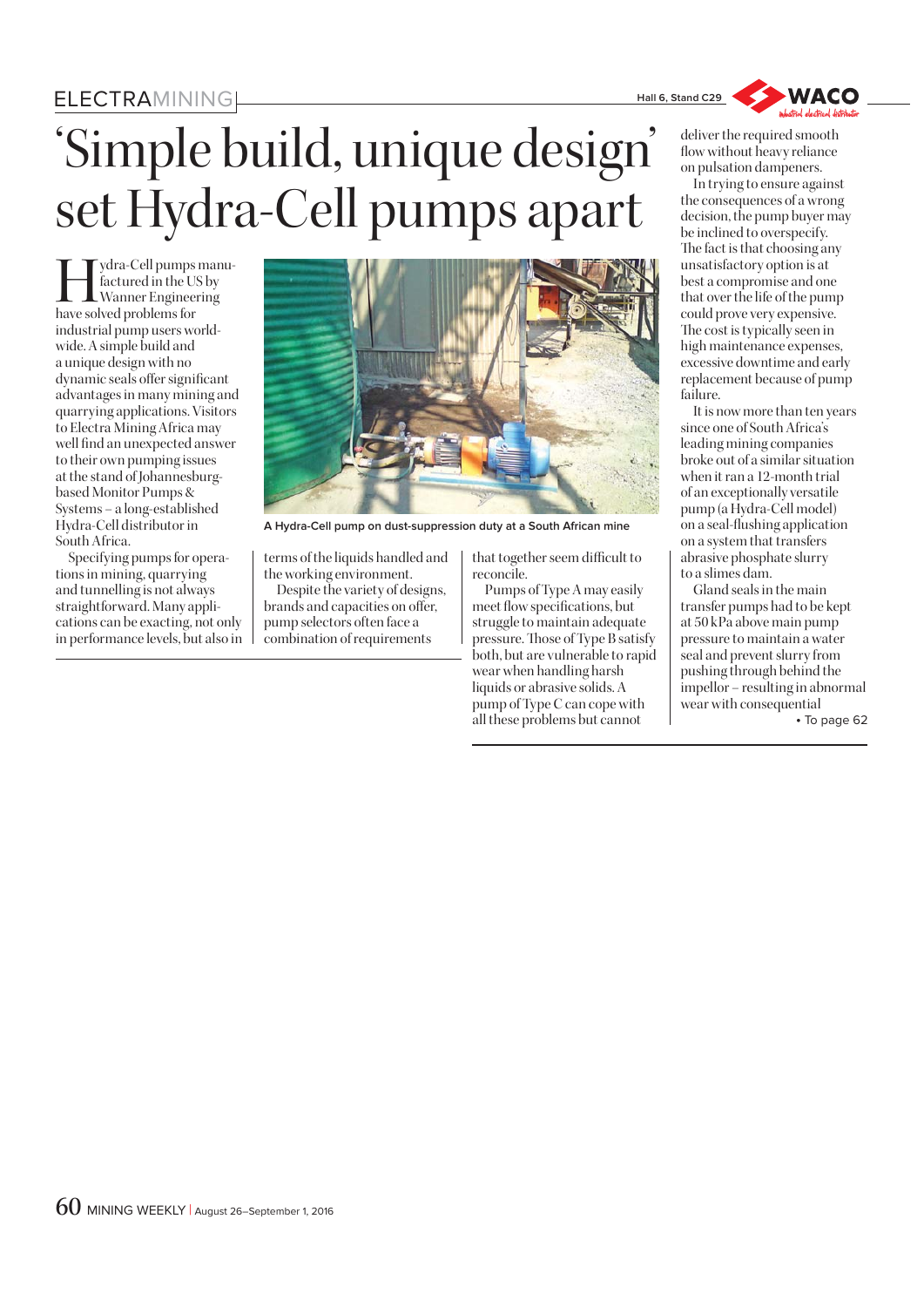## **ELECTRAMINING**

## $\frac{2}{\sqrt{2}}$ 'Simple build, unique design' set Hydra-Cell pumps apart

 $\prod_{\substack{\text{factored} \text{in the US by} \\ \text{Wanner Engineering}}} \text{figured in the US by}$ factured in the US by Wanner Engineering have solved problems for industrial pump users worldwide. A simple build and a unique design with no dynamic seals offer significant advantages in many mining and quarrying applications. Visitors to Electra Mining Africa may well find an unexpected answer to their own pumping issues at the stand of Johannesburgbased Monitor Pumps & Systems – a long-established Hydra-Cell distributor in South Africa.

Specifying pumps for operations in mining, quarrying and tunnelling is not always straightforward. Many applications can be exacting, not only in performance levels, but also in



**A Hydra-Cell pump on dust-suppression duty at a South African mine**

terms of the liquids handled and the working environment.

Despite the variety of designs, brands and capacities on offer, pump selectors often face a combination of requirements

that together seem difficult to reconcile.

Pumps of Type A may easily meet flow specifications, but struggle to maintain adequate pressure. Those of Type B satisfy both, but are vulnerable to rapid wear when handling harsh liquids or abrasive solids. A pump of Type C can cope with all these problems but cannot



deliver the required smooth flow without heavy reliance on pulsation dampeners.

In trying to ensure against the consequences of a wrong decision, the pump buyer may be inclined to overspecify. The fact is that choosing any unsatisfactory option is at best a compromise and one that over the life of the pump could prove very expensive. The cost is typically seen in high maintenance expenses, excessive downtime and early replacement because of pump failure.

It is now more than ten years since one of South Africa's leading mining companies broke out of a similar situation when it ran a 12-month trial of an exceptionally versatile pump (a Hydra-Cell model) on a seal-flushing application on a system that transfers abrasive phosphate slurry to a slimes dam.

Gland seals in the main transfer pumps had to be kept at 50 kPa above main pump pressure to maintain a water seal and prevent slurry from pushing through behind the impellor – resulting in abnormal wear with consequential  $\mathbf{r}$  page  $\mathbf{r}$